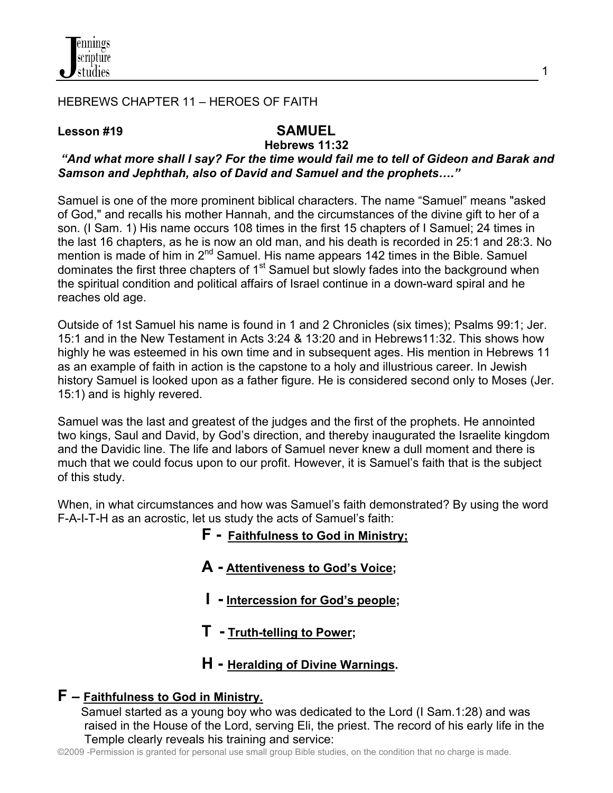

#### HEBREWS CHAPTER 11 – HEROES OF FAITH

#### Lesson #19 SAMUEL

# **Hebrews 11:32**

### *"And what more shall I say? For the time would fail me to tell of Gideon and Barak and Samson and Jephthah, also of David and Samuel and the prophets…."*

Samuel is one of the more prominent biblical characters. The name "Samuel" means "asked of God," and recalls his mother Hannah, and the circumstances of the divine gift to her of a son. (I Sam. 1) His name occurs 108 times in the first 15 chapters of I Samuel; 24 times in the last 16 chapters, as he is now an old man, and his death is recorded in 25:1 and 28:3. No mention is made of him in 2<sup>nd</sup> Samuel. His name appears 142 times in the Bible. Samuel dominates the first three chapters of  $1<sup>st</sup>$  Samuel but slowly fades into the background when the spiritual condition and political affairs of Israel continue in a down-ward spiral and he reaches old age.

Outside of 1st Samuel his name is found in 1 and 2 Chronicles (six times); Psalms 99:1; Jer. 15:1 and in the New Testament in Acts 3:24 & 13:20 and in Hebrews11:32. This shows how highly he was esteemed in his own time and in subsequent ages. His mention in Hebrews 11 as an example of faith in action is the capstone to a holy and illustrious career. In Jewish history Samuel is looked upon as a father figure. He is considered second only to Moses (Jer. 15:1) and is highly revered.

Samuel was the last and greatest of the judges and the first of the prophets. He annointed two kings, Saul and David, by God's direction, and thereby inaugurated the Israelite kingdom and the Davidic line. The life and labors of Samuel never knew a dull moment and there is much that we could focus upon to our profit. However, it is Samuel's faith that is the subject of this study.

When, in what circumstances and how was Samuel's faith demonstrated? By using the word F-A-I-T-H as an acrostic, let us study the acts of Samuel's faith:

- **F Faithfulness to God in Ministry;**
- **A - Attentiveness to God's Voice;**
- **I - Intercession for God's people;**
- **T - Truth-telling to Power;**
- **H - Heralding of Divine Warnings.**

#### **F – Faithfulness to God in Ministry.**

Samuel started as a young boy who was dedicated to the Lord (I Sam.1:28) and was raised in the House of the Lord, serving Eli, the priest. The record of his early life in the Temple clearly reveals his training and service:

©2009 -Permission is granted for personal use small group Bible studies, on the condition that no charge is made.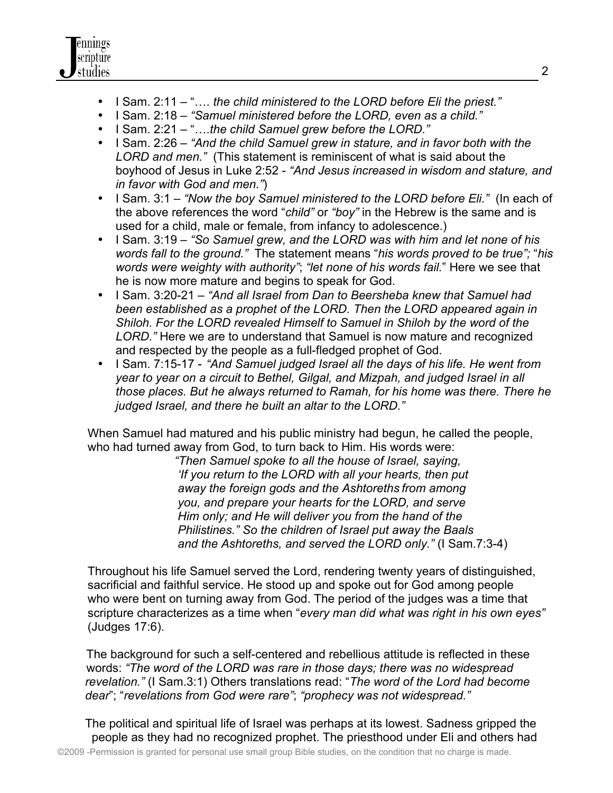- I Sam. 2:11 "…. *the child ministered to the LORD before Eli the priest."*
- I Sam. 2:18 *"Samuel ministered before the LORD, even as a child."*
- I Sam. 2:21 "….*the child Samuel grew before the LORD."*
- I Sam. 2:26 *"And the child Samuel grew in stature, and in favor both with the LORD and men."* (This statement is reminiscent of what is said about the boyhood of Jesus in Luke 2:52 - *"And Jesus increased in wisdom and stature, and in favor with God and men."*)
- I Sam. 3:1 *"Now the boy Samuel ministered to the LORD before Eli."* (In each of the above references the word "*child"* or *"boy"* in the Hebrew is the same and is used for a child, male or female, from infancy to adolescence.)
- I Sam. 3:19 *"So Samuel grew, and the LORD was with him and let none of his words fall to the ground."* The statement means "*his words proved to be true";* "*his words were weighty with authority"*; *"let none of his words fail.*" Here we see that he is now more mature and begins to speak for God.
- I Sam. 3:20-21 *"And all Israel from Dan to Beersheba knew that Samuel had been established as a prophet of the LORD. Then the LORD appeared again in Shiloh. For the LORD revealed Himself to Samuel in Shiloh by the word of the LORD."* Here we are to understand that Samuel is now mature and recognized and respected by the people as a full-fledged prophet of God.
- I Sam. 7:15-17 *"And Samuel judged Israel all the days of his life. He went from year to year on a circuit to Bethel, Gilgal, and Mizpah, and judged Israel in all those places. But he always returned to Ramah, for his home was there. There he judged Israel, and there he built an altar to the LORD."*

 When Samuel had matured and his public ministry had begun, he called the people, who had turned away from God, to turn back to Him. His words were:

 *"Then Samuel spoke to all the house of Israel, saying, 'If you return to the LORD with all your hearts, then put away the foreign gods and the Ashtoreths from among you, and prepare your hearts for the LORD, and serve Him only; and He will deliver you from the hand of the Philistines." So the children of Israel put away the Baals and the Ashtoreths, and served the LORD only."* (I Sam.7:3-4)

 Throughout his life Samuel served the Lord, rendering twenty years of distinguished, sacrificial and faithful service. He stood up and spoke out for God among people who were bent on turning away from God. The period of the judges was a time that scripture characterizes as a time when "*every man did what was right in his own eyes"*  (Judges 17:6).

 The background for such a self-centered and rebellious attitude is reflected in these words: *"The word of the LORD was rare in those days; there was no widespread revelation."* (I Sam.3:1) Others translations read: "*The word of the Lord had become dear*"; "*revelations from God were rare"*; *"prophecy was not widespread."* 

 The political and spiritual life of Israel was perhaps at its lowest. Sadness gripped the people as they had no recognized prophet. The priesthood under Eli and others had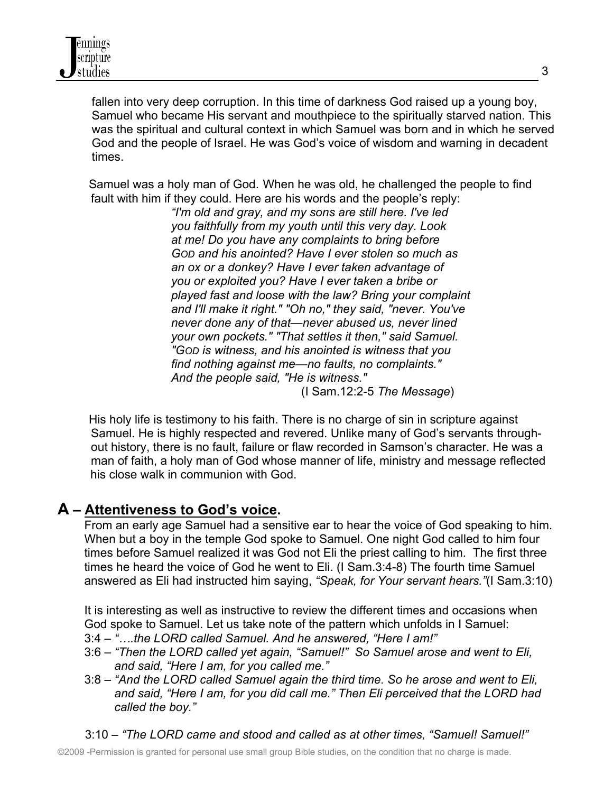fallen into very deep corruption. In this time of darkness God raised up a young boy, Samuel who became His servant and mouthpiece to the spiritually starved nation. This was the spiritual and cultural context in which Samuel was born and in which he served God and the people of Israel. He was God's voice of wisdom and warning in decadent times.

Samuel was a holy man of God. When he was old, he challenged the people to find fault with him if they could. Here are his words and the people's reply:

 *"I'm old and gray, and my sons are still here. I've led you faithfully from my youth until this very day. Look at me! Do you have any complaints to bring before GOD and his anointed? Have I ever stolen so much as an ox or a donkey? Have I ever taken advantage of you or exploited you? Have I ever taken a bribe or played fast and loose with the law? Bring your complaint and I'll make it right." "Oh no," they said, "never. You've never done any of that—never abused us, never lined your own pockets." "That settles it then," said Samuel. "GOD is witness, and his anointed is witness that you find nothing against me—no faults, no complaints." And the people said, "He is witness."*  (I Sam.12:2-5 *The Message*)

His holy life is testimony to his faith. There is no charge of sin in scripture against Samuel. He is highly respected and revered. Unlike many of God's servants through out history, there is no fault, failure or flaw recorded in Samson's character. He was a man of faith, a holy man of God whose manner of life, ministry and message reflected his close walk in communion with God.

# **A – Attentiveness to God's voice.**

 From an early age Samuel had a sensitive ear to hear the voice of God speaking to him. When but a boy in the temple God spoke to Samuel. One night God called to him four times before Samuel realized it was God not Eli the priest calling to him. The first three times he heard the voice of God he went to Eli. (I Sam.3:4-8) The fourth time Samuel answered as Eli had instructed him saying, *"Speak, for Your servant hears."*(I Sam.3:10)

It is interesting as well as instructive to review the different times and occasions when God spoke to Samuel. Let us take note of the pattern which unfolds in I Samuel: 3:4 – *"….the LORD called Samuel. And he answered, "Here I am!"*

- 3:6 *"Then the LORD called yet again, "Samuel!" So Samuel arose and went to Eli, and said, "Here I am, for you called me."*
- 3:8 *"And the LORD called Samuel again the third time. So he arose and went to Eli, and said, "Here I am, for you did call me." Then Eli perceived that the LORD had called the boy."*
- 3:10 *"The LORD came and stood and called as at other times, "Samuel! Samuel!"*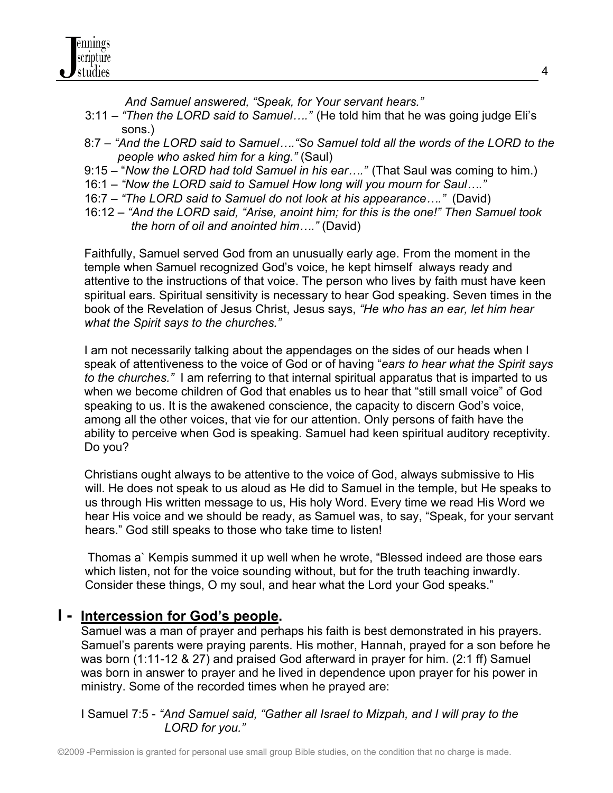

 *And Samuel answered, "Speak, for Your servant hears."*

- 3:11 *"Then the LORD said to Samuel…."* (He told him that he was going judge Eli's sons.)
- 8:7 *"And the LORD said to Samuel…."So Samuel told all the words of the LORD to the people who asked him for a king."* (Saul)
- 9:15 "*Now the LORD had told Samuel in his ear…."* (That Saul was coming to him.)
- 16:1 *"Now the LORD said to Samuel How long will you mourn for Saul…."*
- 16:7 *"The LORD said to Samuel do not look at his appearance…."* (David)
- 16:12 *"And the LORD said, "Arise, anoint him; for this is the one!" Then Samuel took the horn of oil and anointed him…."* (David)

 Faithfully, Samuel served God from an unusually early age. From the moment in the temple when Samuel recognized God's voice, he kept himself always ready and attentive to the instructions of that voice. The person who lives by faith must have keen spiritual ears. Spiritual sensitivity is necessary to hear God speaking. Seven times in the book of the Revelation of Jesus Christ, Jesus says, *"He who has an ear, let him hear what the Spirit says to the churches."* 

 I am not necessarily talking about the appendages on the sides of our heads when I speak of attentiveness to the voice of God or of having "*ears to hear what the Spirit says to the churches."* I am referring to that internal spiritual apparatus that is imparted to us when we become children of God that enables us to hear that "still small voice" of God speaking to us. It is the awakened conscience, the capacity to discern God's voice, among all the other voices, that vie for our attention. Only persons of faith have the ability to perceive when God is speaking. Samuel had keen spiritual auditory receptivity. Do you?

 Christians ought always to be attentive to the voice of God, always submissive to His will. He does not speak to us aloud as He did to Samuel in the temple, but He speaks to us through His written message to us, His holy Word. Every time we read His Word we hear His voice and we should be ready, as Samuel was, to say, "Speak, for your servant hears." God still speaks to those who take time to listen!

 Thomas a` Kempis summed it up well when he wrote, "Blessed indeed are those ears which listen, not for the voice sounding without, but for the truth teaching inwardly. Consider these things, O my soul, and hear what the Lord your God speaks."

### **I - Intercession for God's people.**

 Samuel was a man of prayer and perhaps his faith is best demonstrated in his prayers. Samuel's parents were praying parents. His mother, Hannah, prayed for a son before he was born (1:11-12 & 27) and praised God afterward in prayer for him. (2:1 ff) Samuel was born in answer to prayer and he lived in dependence upon prayer for his power in ministry. Some of the recorded times when he prayed are:

 I Samuel 7:5 - *"And Samuel said, "Gather all Israel to Mizpah, and I will pray to the LORD for you."*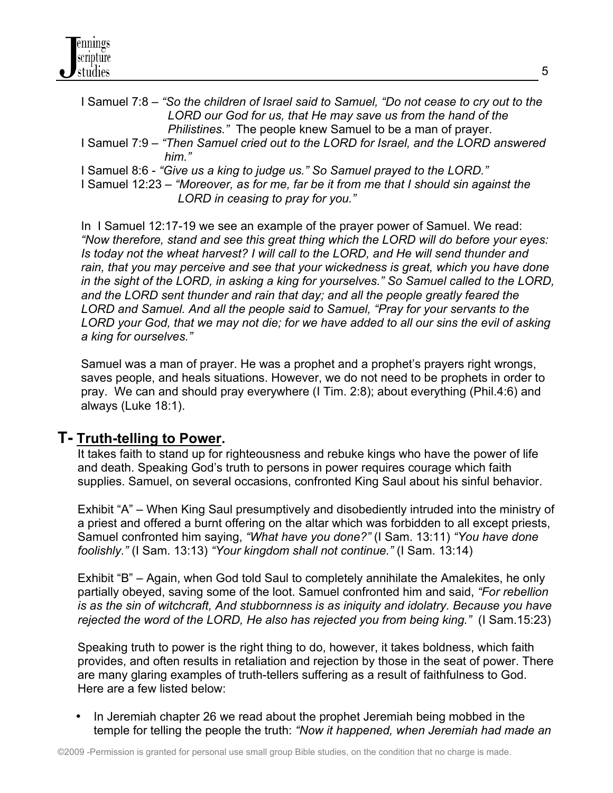| I Samuel 7:8 – "So the children of Israel said to Samuel, "Do not cease to cry out to the<br>LORD our God for us, that He may save us from the hand of the |
|------------------------------------------------------------------------------------------------------------------------------------------------------------|
| Philistines." The people knew Samuel to be a man of prayer.                                                                                                |
| I Samuel 7:9 - "Then Samuel cried out to the LORD for Israel, and the LORD answered                                                                        |
| him "                                                                                                                                                      |
| I Samuel 8.6 - "Give us a king to judge us." So Samuel prayed to the LORD."                                                                                |
| $\frac{1}{2}$ Samuel 12:23 $\pm$ "Moreover as for me far he it from me that I should sin against the                                                       |

*Im me that I should sin LORD in ceasing to pray for you."*

In I Samuel 12:17-19 we see an example of the prayer power of Samuel. We read: *"Now therefore, stand and see this great thing which the LORD will do before your eyes: Is today not the wheat harvest? I will call to the LORD, and He will send thunder and rain, that you may perceive and see that your wickedness is great, which you have done in the sight of the LORD, in asking a king for yourselves." So Samuel called to the LORD, and the LORD sent thunder and rain that day; and all the people greatly feared the LORD and Samuel. And all the people said to Samuel, "Pray for your servants to the LORD your God, that we may not die; for we have added to all our sins the evil of asking a king for ourselves."*

 Samuel was a man of prayer. He was a prophet and a prophet's prayers right wrongs, saves people, and heals situations. However, we do not need to be prophets in order to pray. We can and should pray everywhere (I Tim. 2:8); about everything (Phil.4:6) and always (Luke 18:1).

### **T- Truth-telling to Power.**

 It takes faith to stand up for righteousness and rebuke kings who have the power of life and death. Speaking God's truth to persons in power requires courage which faith supplies. Samuel, on several occasions, confronted King Saul about his sinful behavior.

 Exhibit "A" – When King Saul presumptively and disobediently intruded into the ministry of a priest and offered a burnt offering on the altar which was forbidden to all except priests, Samuel confronted him saying, *"What have you done?"* (I Sam. 13:11) *"You have done foolishly."* (I Sam. 13:13) *"Your kingdom shall not continue."* (I Sam. 13:14)

 Exhibit "B" – Again, when God told Saul to completely annihilate the Amalekites, he only partially obeyed, saving some of the loot. Samuel confronted him and said, *"For rebellion is as the sin of witchcraft, And stubbornness is as iniquity and idolatry. Because you have rejected the word of the LORD, He also has rejected you from being king."* (I Sam.15:23)

 Speaking truth to power is the right thing to do, however, it takes boldness, which faith provides, and often results in retaliation and rejection by those in the seat of power. There are many glaring examples of truth-tellers suffering as a result of faithfulness to God. Here are a few listed below:

• In Jeremiah chapter 26 we read about the prophet Jeremiah being mobbed in the temple for telling the people the truth: *"Now it happened, when Jeremiah had made an*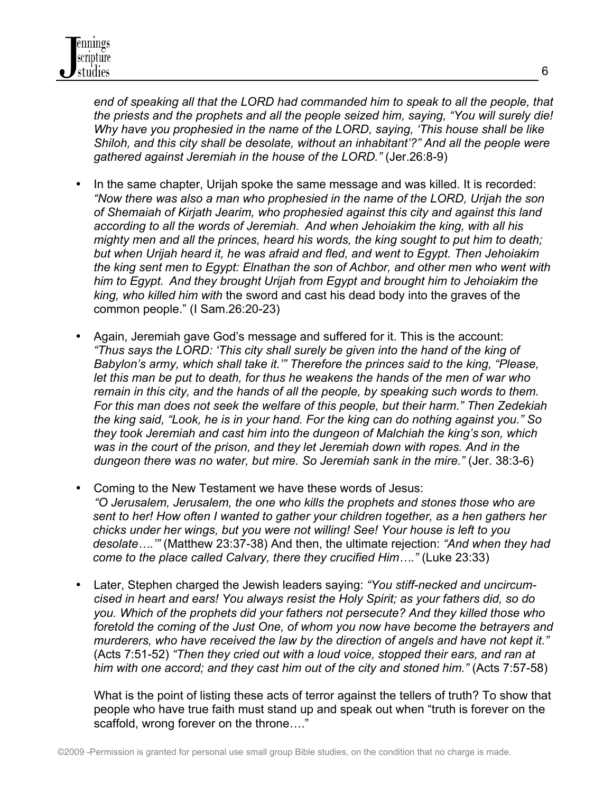end of speaking all that the LORD had commanded him to speak to all the people, that *the priests and the prophets and all the people seized him, saying, "You will surely die! Why have you prophesied in the name of the LORD, saying, 'This house shall be like Shiloh, and this city shall be desolate, without an inhabitant'?" And all the people were gathered against Jeremiah in the house of the LORD."* (Jer.26:8-9)

- In the same chapter, Urijah spoke the same message and was killed. It is recorded: *"Now there was also a man who prophesied in the name of the LORD, Urijah the son of Shemaiah of Kirjath Jearim, who prophesied against this city and against this land according to all the words of Jeremiah. And when Jehoiakim the king, with all his mighty men and all the princes, heard his words, the king sought to put him to death; but when Urijah heard it, he was afraid and fled, and went to Egypt. Then Jehoiakim the king sent men to Egypt: Elnathan the son of Achbor, and other men who went with him to Egypt. And they brought Urijah from Egypt and brought him to Jehoiakim the king, who killed him with* the sword and cast his dead body into the graves of the common people." (I Sam.26:20-23)
- Again, Jeremiah gave God's message and suffered for it. This is the account: *"Thus says the LORD: 'This city shall surely be given into the hand of the king of Babylon's army, which shall take it.'" Therefore the princes said to the king, "Please, let this man be put to death, for thus he weakens the hands of the men of war who remain in this city, and the hands of all the people, by speaking such words to them. For this man does not seek the welfare of this people, but their harm." Then Zedekiah the king said, "Look, he is in your hand. For the king can do nothing against you." So they took Jeremiah and cast him into the dungeon of Malchiah the king's son, which was in the court of the prison, and they let Jeremiah down with ropes. And in the dungeon there was no water, but mire. So Jeremiah sank in the mire."* (Jer. 38:3-6)
- Coming to the New Testament we have these words of Jesus:  *"O Jerusalem, Jerusalem, the one who kills the prophets and stones those who are sent to her! How often I wanted to gather your children together, as a hen gathers her chicks under her wings, but you were not willing! See! Your house is left to you desolate….'"* (Matthew 23:37-38) And then, the ultimate rejection: *"And when they had come to the place called Calvary, there they crucified Him…."* (Luke 23:33)
- Later, Stephen charged the Jewish leaders saying: *"You stiff-necked and uncircumcised in heart and ears! You always resist the Holy Spirit; as your fathers did, so do you. Which of the prophets did your fathers not persecute? And they killed those who foretold the coming of the Just One, of whom you now have become the betrayers and murderers, who have received the law by the direction of angels and have not kept it."* (Acts 7:51-52) *"Then they cried out with a loud voice, stopped their ears, and ran at him with one accord; and they cast him out of the city and stoned him."* (Acts 7:57-58)

 What is the point of listing these acts of terror against the tellers of truth? To show that people who have true faith must stand up and speak out when "truth is forever on the scaffold, wrong forever on the throne…."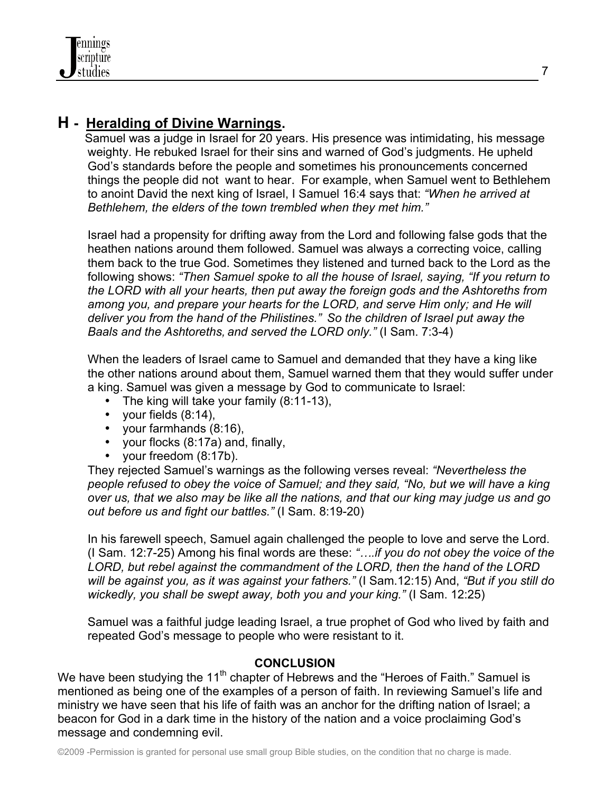# **H - Heralding of Divine Warnings.**

 Samuel was a judge in Israel for 20 years. His presence was intimidating, his message weighty. He rebuked Israel for their sins and warned of God's judgments. He upheld God's standards before the people and sometimes his pronouncements concerned things the people did not want to hear. For example, when Samuel went to Bethlehem to anoint David the next king of Israel, I Samuel 16:4 says that: *"When he arrived at Bethlehem, the elders of the town trembled when they met him."*

 Israel had a propensity for drifting away from the Lord and following false gods that the heathen nations around them followed. Samuel was always a correcting voice, calling them back to the true God. Sometimes they listened and turned back to the Lord as the following shows: *"Then Samuel spoke to all the house of Israel, saying, "If you return to the LORD with all your hearts, then put away the foreign gods and the Ashtoreths from among you, and prepare your hearts for the LORD, and serve Him only; and He will deliver you from the hand of the Philistines." So the children of Israel put away the Baals and the Ashtoreths, and served the LORD only."* (I Sam. 7:3-4)

 When the leaders of Israel came to Samuel and demanded that they have a king like the other nations around about them, Samuel warned them that they would suffer under a king. Samuel was given a message by God to communicate to Israel:

- The king will take your family (8:11-13),
- your fields (8:14),
- your farmhands (8:16),
- your flocks (8:17a) and, finally,
- your freedom (8:17b).

 They rejected Samuel's warnings as the following verses reveal: *"Nevertheless the people refused to obey the voice of Samuel; and they said, "No, but we will have a king over us, that we also may be like all the nations, and that our king may judge us and go out before us and fight our battles."* (I Sam. 8:19-20)

In his farewell speech, Samuel again challenged the people to love and serve the Lord. (I Sam. 12:7-25) Among his final words are these: *"….if you do not obey the voice of the LORD, but rebel against the commandment of the LORD, then the hand of the LORD will be against you, as it was against your fathers."* (I Sam.12:15) And, *"But if you still do wickedly, you shall be swept away, both you and your king."* (I Sam. 12:25)

 Samuel was a faithful judge leading Israel, a true prophet of God who lived by faith and repeated God's message to people who were resistant to it.

#### **CONCLUSION**

We have been studying the 11<sup>th</sup> chapter of Hebrews and the "Heroes of Faith." Samuel is mentioned as being one of the examples of a person of faith. In reviewing Samuel's life and ministry we have seen that his life of faith was an anchor for the drifting nation of Israel; a beacon for God in a dark time in the history of the nation and a voice proclaiming God's message and condemning evil.